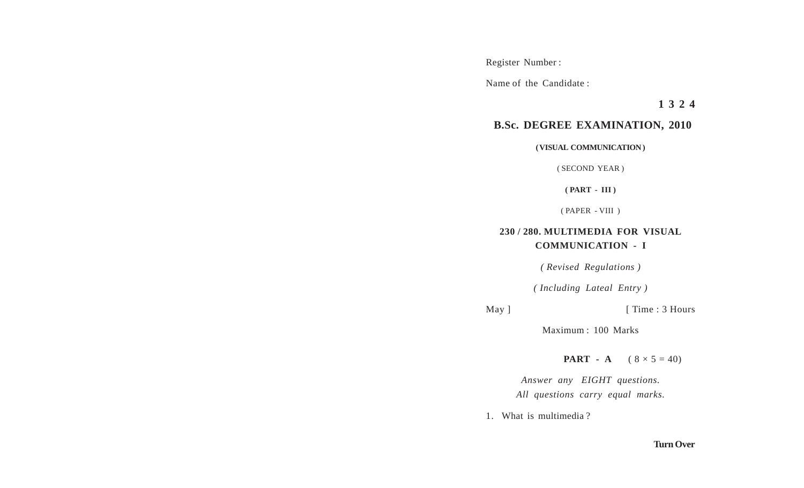Register Number :

Name of the Candidate :

**1 3 2 4**

## **B.Sc. DEGREE EXAMINATION, 2010**

**( VISUAL COMMUNICATION )**

( SECOND YEAR )

**( PART - III )**

( PAPER - VIII )

## **230 / 280. MULTIMEDIA FOR VISUAL COMMUNICATION - I**

*( Revised Regulations )*

*( Including Lateal Entry )*

May ] [ Time : 3 Hours

Maximum : 100 Marks

**PART** - **A**  $(8 \times 5 = 40)$ 

*Answer any EIGHT questions. All questions carry equal marks.*

1. What is multimedia ?

## **Turn Over**